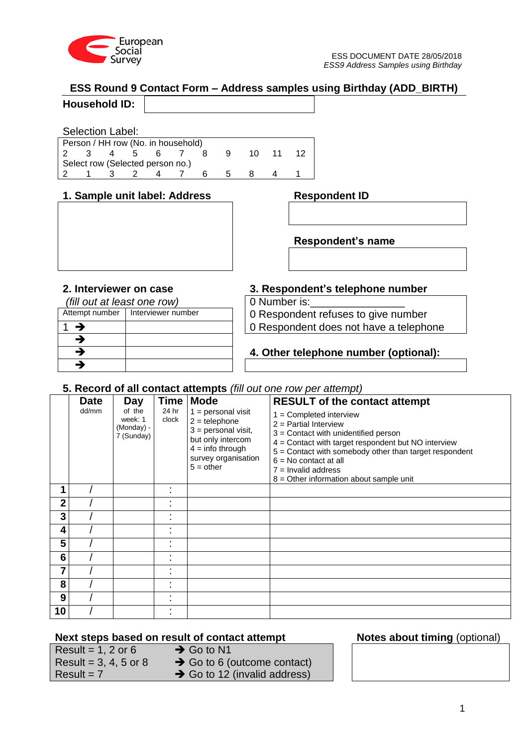

# **ESS Round 9 Contact Form – Address samples using Birthday (ADD\_BIRTH)**

# **Household ID:**

## Selection Label:

|   | Person / HH row (No. in household) |      |   |   |     |  |
|---|------------------------------------|------|---|---|-----|--|
| 3 | $\sim$ 4                           | $-5$ | 6 |   | 10. |  |
|   | Select row (Selected person no.)   |      |   |   |     |  |
|   |                                    |      | 4 | ĥ |     |  |

## **1. Sample unit label: Address Respondent ID**

*(fill out at least one row)* 0 Number is:

| $\mu$ out at reast one form |                    |
|-----------------------------|--------------------|
| Attempt number              | Interviewer number |
| →                           |                    |
| -3                          |                    |
| -3                          |                    |
|                             |                    |

# **2. Interviewer on case 3. Respondent's telephone number**

**Respondent's name**

0 Respondent refuses to give number 1 0 Respondent does not have a telephone

# **4. Other telephone number (optional):**

# **5. Record of all contact attempts** *(fill out one row per attempt)*

|                | <b>Date</b> | Day                                           |                | Time   Mode                                                                                                                                       | <b>RESULT of the contact attempt</b>                                                                                                                                                                                                                                                                             |
|----------------|-------------|-----------------------------------------------|----------------|---------------------------------------------------------------------------------------------------------------------------------------------------|------------------------------------------------------------------------------------------------------------------------------------------------------------------------------------------------------------------------------------------------------------------------------------------------------------------|
|                | dd/mm       | of the<br>week: 1<br>(Monday) -<br>7 (Sunday) | 24 hr<br>clock | $1 =$ personal visit<br>$2 =$ telephone<br>$3 =$ personal visit,<br>but only intercom<br>$4 =$ info through<br>survey organisation<br>$5 = other$ | $1 =$ Completed interview<br>$2$ = Partial Interview<br>$3$ = Contact with unidentified person<br>4 = Contact with target respondent but NO interview<br>5 = Contact with somebody other than target respondent<br>$6 = No$ contact at all<br>$7 =$ Invalid address<br>$8$ = Other information about sample unit |
|                |             |                                               |                |                                                                                                                                                   |                                                                                                                                                                                                                                                                                                                  |
| $\overline{2}$ |             |                                               |                |                                                                                                                                                   |                                                                                                                                                                                                                                                                                                                  |
| 3              |             |                                               |                |                                                                                                                                                   |                                                                                                                                                                                                                                                                                                                  |
| 4              |             |                                               |                |                                                                                                                                                   |                                                                                                                                                                                                                                                                                                                  |
| 5              |             |                                               |                |                                                                                                                                                   |                                                                                                                                                                                                                                                                                                                  |
| 6              |             |                                               |                |                                                                                                                                                   |                                                                                                                                                                                                                                                                                                                  |
| 7              |             |                                               |                |                                                                                                                                                   |                                                                                                                                                                                                                                                                                                                  |
| 8              |             |                                               |                |                                                                                                                                                   |                                                                                                                                                                                                                                                                                                                  |
| 9              |             |                                               |                |                                                                                                                                                   |                                                                                                                                                                                                                                                                                                                  |
| 10             |             |                                               |                |                                                                                                                                                   |                                                                                                                                                                                                                                                                                                                  |

# **Next steps based on result of contact attempt Notes about timing** (optional)

| Result = 1, 2 or 6      |  |
|-------------------------|--|
| Result = $3, 4, 5$ or 8 |  |
| $Result = 7$            |  |

- $\rightarrow$  Go to N1  $\rightarrow$  Go to 6 (outcome contact)
- $\rightarrow$  Go to 12 (invalid address)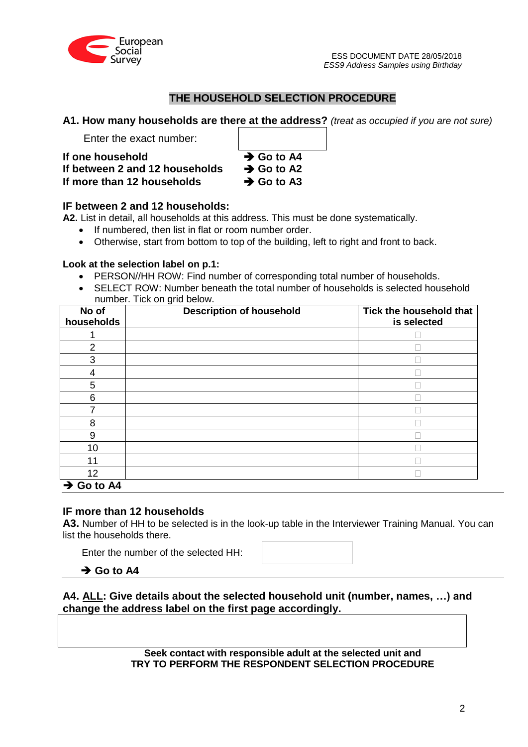

# **THE HOUSEHOLD SELECTION PROCEDURE**

**A1. How many households are there at the address?** *(treat as occupied if you are not sure)*

Enter the exact number:

If one household **a** Go to A4 If between 2 and 12 households  $\rightarrow$  Go to A2 If more than 12 households  $\rightarrow$  Go to A3

# **IF between 2 and 12 households:**

**A2.** List in detail, all households at this address. This must be done systematically.

- If numbered, then list in flat or room number order.
- Otherwise, start from bottom to top of the building, left to right and front to back.

## **Look at the selection label on p.1:**

- PERSON//HH ROW: Find number of corresponding total number of households.
- SELECT ROW: Number beneath the total number of households is selected household number. Tick on grid below.

| No of<br>households    | <b>Description of household</b> | Tick the household that<br>is selected |
|------------------------|---------------------------------|----------------------------------------|
|                        |                                 |                                        |
| 2                      |                                 |                                        |
| 3                      |                                 |                                        |
| 4                      |                                 |                                        |
| 5                      |                                 |                                        |
| 6                      |                                 |                                        |
|                        |                                 |                                        |
| 8                      |                                 |                                        |
| 9                      |                                 |                                        |
| 10                     |                                 |                                        |
| 11                     |                                 |                                        |
| 12                     |                                 |                                        |
| $\rightarrow$ Go to A4 |                                 |                                        |

## **IF more than 12 households**

**A3.** Number of HH to be selected is in the look-up table in the Interviewer Training Manual. You can list the households there.

Enter the number of the selected HH:

 $\rightarrow$  Go to A4

**A4. ALL: Give details about the selected household unit (number, names, …) and change the address label on the first page accordingly.**

> **Seek contact with responsible adult at the selected unit and TRY TO PERFORM THE RESPONDENT SELECTION PROCEDURE**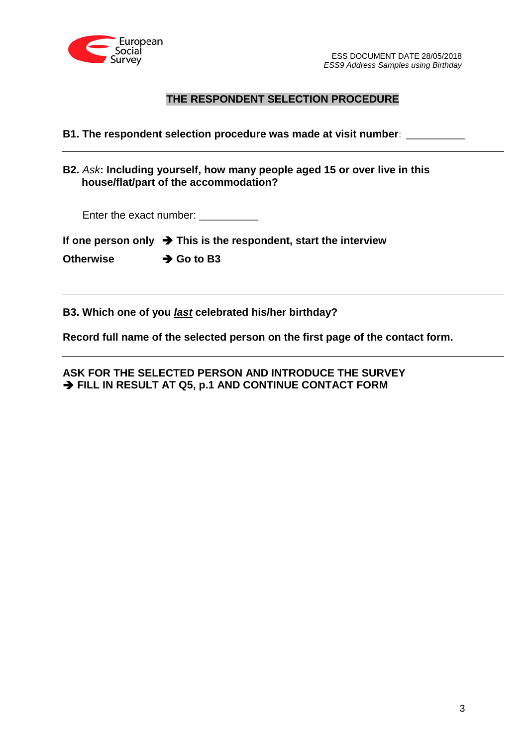

# **THE RESPONDENT SELECTION PROCEDURE**

**B1. The respondent selection procedure was made at visit number**: \_\_\_\_\_\_\_\_\_\_\_\_

**B2.** *Ask***: Including yourself, how many people aged 15 or over live in this house/flat/part of the accommodation?**

Enter the exact number: \_\_\_\_\_\_\_\_\_\_\_

|  |  |  |  | If one person only $\rightarrow$ This is the respondent, start the interview |
|--|--|--|--|------------------------------------------------------------------------------|
|--|--|--|--|------------------------------------------------------------------------------|

**Otherwise → Go to B3** 

**B3. Which one of you** *last* **celebrated his/her birthday?**

**Record full name of the selected person on the first page of the contact form.**

**ASK FOR THE SELECTED PERSON AND INTRODUCE THE SURVEY**  $\rightarrow$  **FILL IN RESULT AT Q5, p.1 AND CONTINUE CONTACT FORM**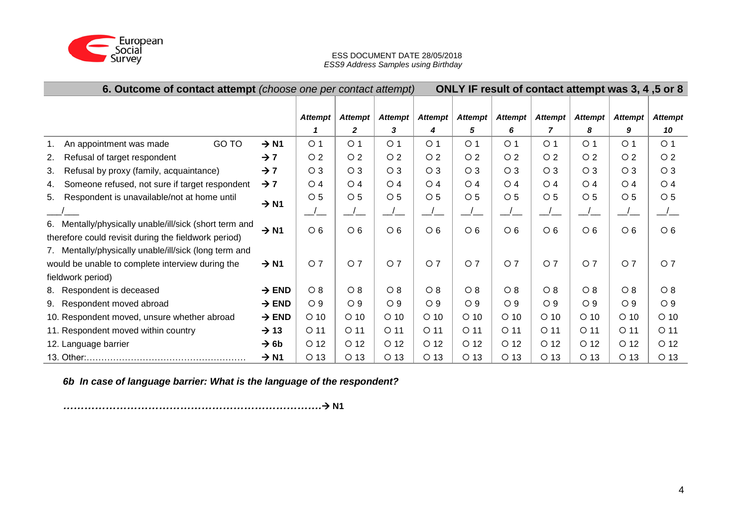

### ESS DOCUMENT DATE 28/05/2018 *ESS9 Address Samples using Birthday*

| 6. Outcome of contact attempt (choose one per contact attempt)   | ONLY IF result of contact attempt was 3, 4, 5 or 8 |                 |                 |                  |                     |                     |                 |                 |                |                 |                 |
|------------------------------------------------------------------|----------------------------------------------------|-----------------|-----------------|------------------|---------------------|---------------------|-----------------|-----------------|----------------|-----------------|-----------------|
|                                                                  |                                                    | <b>Attempt</b>  | <b>Attempt</b>  | <b>Attempt</b>   |                     |                     | <b>Attempt</b>  | <b>Attempt</b>  | <b>Attempt</b> | <b>Attempt</b>  | <b>Attempt</b>  |
|                                                                  |                                                    | 1               | $\mathbf{2}$    | 3                | <b>Attempt</b><br>4 | <b>Attempt</b><br>5 | 6               | 7               | 8              | 9               | 10              |
| GO TO<br>An appointment was made<br>1.                           | $\rightarrow$ N1                                   | O <sub>1</sub>  | O <sub>1</sub>  | O <sub>1</sub>   | $\circ$ 1           | O <sub>1</sub>      | O <sub>1</sub>  | O <sub>1</sub>  | $\circ$ 1      | O <sub>1</sub>  | O <sub>1</sub>  |
| Refusal of target respondent<br>2.                               | $\rightarrow$ 7                                    | $\circ$ 2       | $\circ$ 2       | O <sub>2</sub>   | $\circ$ 2           | $\circ$ 2           | $\circ$ 2       | $\circ$ 2       | O <sub>2</sub> | O <sub>2</sub>  | $\circ$ 2       |
|                                                                  |                                                    |                 |                 |                  |                     |                     |                 |                 |                |                 |                 |
| Refusal by proxy (family, acquaintance)<br>3.                    | $\rightarrow$ 7                                    | $\circ$ 3       | $\circ$ 3       | O <sub>3</sub>   | $\circ$ 3           | $\circ$ 3           | $\circ$ 3       | $\circ$ 3       | $\circ$ 3      | $\circ$ 3       | $\circ$ 3       |
| Someone refused, not sure if target respondent<br>4.             | $\rightarrow$ 7                                    | O <sub>4</sub>  | $\bigcirc$ 4    | $\overline{O}$ 4 | O <sub>4</sub>      | O <sub>4</sub>      | $\circ$ 4       | $\circ$ 4       | O <sub>4</sub> | O <sub>4</sub>  | O <sub>4</sub>  |
| Respondent is unavailable/not at home until<br>5.                | $\rightarrow$ N1                                   | $\circ$ 5       | $\circ$ 5       | $\circ$ 5        | O <sub>5</sub>      | $\circ$ 5           | $\circ$ 5       | $\circ$ 5       | O <sub>5</sub> | $\circ$ 5       | $\circ$ 5       |
|                                                                  |                                                    |                 | $\frac{\ }{\ }$ |                  |                     |                     | $\frac{1}{1}$   |                 |                |                 | $\frac{\ }{\ }$ |
| 6. Mentally/physically unable/ill/sick (short term and           | $\rightarrow$ N1                                   | O <sub>6</sub>  | O <sub>6</sub>  | O <sub>6</sub>   | $\circ$ 6           | $\circ$ 6           | $\circ$ 6       | $\circ$ 6       | $\circ$ 6      | $\circ$ 6       | $\circ$ 6       |
| therefore could revisit during the fieldwork period)             |                                                    |                 |                 |                  |                     |                     |                 |                 |                |                 |                 |
| 7. Mentally/physically unable/ill/sick (long term and            |                                                    |                 |                 |                  |                     |                     |                 |                 |                |                 |                 |
| would be unable to complete interview during the                 | $\rightarrow$ N1                                   | O <sub>7</sub>  | O <sub>7</sub>  | O <sub>7</sub>   | O <sub>7</sub>      | O <sub>7</sub>      | O <sub>7</sub>  | O <sub>7</sub>  | O <sub>7</sub> | O <sub>7</sub>  | O <sub>7</sub>  |
| fieldwork period)                                                |                                                    |                 |                 |                  |                     |                     |                 |                 |                |                 |                 |
| 8. Respondent is deceased                                        | $\rightarrow$ END                                  | O 8             | $\circ$ 8       | $\circ$ 8        | $\circ$ 8           | $\circ$ 8           | $\circ$ 8       | $\circ$ 8       | O 8            | O 8             | $\circ$ 8       |
| $\rightarrow$ END<br>9. Respondent moved abroad                  |                                                    |                 | $\circ$ 9       | O <sub>9</sub>   | O <sub>9</sub>      | $\circ$ 9           | $\circ$ 9       | $\circ$ 9       | O <sub>9</sub> | O <sub>9</sub>  | $\circ$ 9       |
| 10. Respondent moved, unsure whether abroad<br>$\rightarrow$ END |                                                    |                 | $O$ 10          | $\circ$ 10       | $O$ 10              | $\circ$ 10          | $O$ 10          | $\circ$ 10      | $O$ 10         | $\circ$ 10      | $\circ$ 10      |
| 11. Respondent moved within country                              | $O$ 11                                             | $O$ 11          | $O$ 11          | $O$ 11           | $O$ 11              | $O$ 11              | $O$ 11          | $O$ 11          | $O$ 11         | $O$ 11          |                 |
| 12. Language barrier                                             | $\rightarrow$ 6b                                   | O <sub>12</sub> | $O$ 12          | O <sub>12</sub>  | $O$ 12              | $O$ 12              | O <sub>12</sub> | O <sub>12</sub> | $O$ 12         | O <sub>12</sub> | $O$ 12          |
|                                                                  | $\rightarrow$ N1                                   | $O$ 13          | $O$ 13          | $O$ 13           | $O$ 13              | $O$ 13              | $O$ 13          | $O$ 13          | $O$ 13         | $O$ 13          | $O$ 13          |

*6b In case of language barrier: What is the language of the respondent?* 

*……………………………………………………………….* **N1**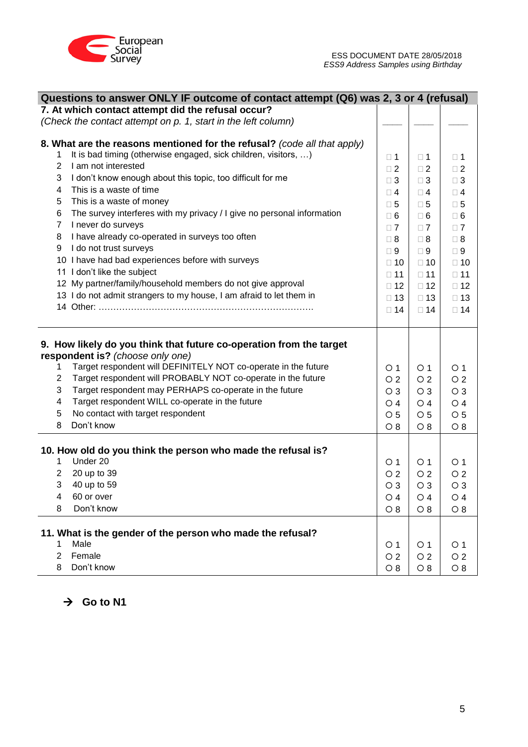

|                | Questions to answer ONLY IF outcome of contact attempt (Q6) was 2, 3 or 4 (refusal) |                 |                |                |
|----------------|-------------------------------------------------------------------------------------|-----------------|----------------|----------------|
|                | 7. At which contact attempt did the refusal occur?                                  |                 |                |                |
|                | (Check the contact attempt on p. 1, start in the left column)                       |                 |                |                |
|                |                                                                                     |                 |                |                |
|                | 8. What are the reasons mentioned for the refusal? (code all that apply)            |                 |                |                |
| 1              | It is bad timing (otherwise engaged, sick children, visitors, )                     | $\square$ 1     | $\square$ 1    | $\square$ 1    |
| 2              | I am not interested                                                                 | $\square$ 2     | $\Box$ 2       | $\square$ 2    |
| 3              | I don't know enough about this topic, too difficult for me                          | $\Box$ 3        | $\Box$ 3       | $\Box$ 3       |
| 4              | This is a waste of time                                                             | $\Box$ 4        | $\Box$ 4       | $\square$ 4    |
| 5              | This is a waste of money                                                            | $\square$ 5     | $\square$ 5    | $\square$ 5    |
| 6              | The survey interferes with my privacy / I give no personal information              | $\square$ 6     | $\square$ 6    | $\square$ 6    |
| $\overline{7}$ | I never do surveys                                                                  | $\Box$ 7        | $\Box$ 7       | $\Box$ 7       |
| 8              | I have already co-operated in surveys too often                                     | $\Box$ 8        | $\Box$ 8       | $\Box$ 8       |
| 9              | I do not trust surveys                                                              | $\Box$ 9        | $\Box$ 9       | $\square$ 9    |
|                | 10 I have had bad experiences before with surveys                                   | $\Box$ 10       | $\square$ 10   | $\Box$ 10      |
|                | 11 I don't like the subject                                                         | $\Box$ 11       | $\Box$ 11      | $\Box$ 11      |
|                | 12 My partner/family/household members do not give approval                         | $\Box$ 12       | $\Box$ 12      | $\Box$ 12      |
|                | 13 I do not admit strangers to my house, I am afraid to let them in                 | $\Box$ 13       | $\Box$ 13      | $\Box$ 13      |
|                |                                                                                     | $\Box$ 14       | $\Box$ 14      | $\Box$ 14      |
|                |                                                                                     |                 |                |                |
|                | 9. How likely do you think that future co-operation from the target                 |                 |                |                |
|                | respondent is? (choose only one)                                                    |                 |                |                |
| 1              | Target respondent will DEFINITELY NOT co-operate in the future                      | O 1             | $\circ$ 1      | $\circ$ 1      |
| $\overline{c}$ | Target respondent will PROBABLY NOT co-operate in the future                        | $\overline{O}2$ | $\circ$ 2      | O <sub>2</sub> |
| 3              | Target respondent may PERHAPS co-operate in the future                              | $\circ$ 3       | $\circ$ 3      | $\circ$ 3      |
| 4              | Target respondent WILL co-operate in the future                                     | O 4             | $\circ$ 4      | O <sub>4</sub> |
| 5              | No contact with target respondent                                                   | $\circ$ 5       | $\circ$ 5      | $\circ$ 5      |
| 8              | Don't know                                                                          | $\circ$ 8       | $\circ$ 8      | O 8            |
|                |                                                                                     |                 |                |                |
|                | 10. How old do you think the person who made the refusal is?                        |                 |                |                |
| 1              | Under 20                                                                            | $\circ$ 1       | O <sub>1</sub> | O 1            |
| $\overline{2}$ | 20 up to 39                                                                         | O <sub>2</sub>  | $\circ$ 2      | $\circ$ 2      |
| 3              | 40 up to 59                                                                         | $\circ$ 3       | $\circ$ 3      | $\circ$ 3      |
| 4              | 60 or over                                                                          | $\circ$ 4       | $\circ$ 4      | $\circ$ 4      |
| 8              | Don't know                                                                          | O 8             | $\circ$ 8      | O 8            |
|                | 11. What is the gender of the person who made the refusal?                          |                 |                |                |
| 1              | Male                                                                                | $\circ$ 1       | $\circ$ 1      | O <sub>1</sub> |
| $\overline{2}$ | Female                                                                              | O <sub>2</sub>  | O <sub>2</sub> | O <sub>2</sub> |
| 8              | Don't know                                                                          | $\circ$ 8       | $\circ$ 8      | $\circ$ 8      |

 $\rightarrow$  Go to N1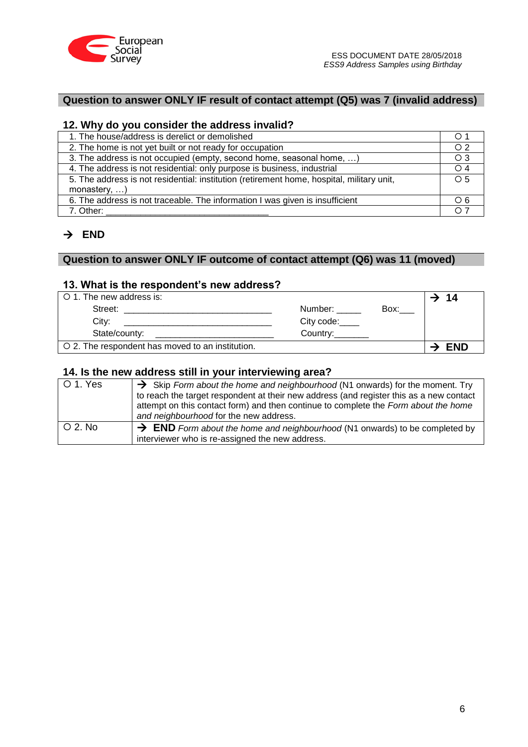

# **Question to answer ONLY IF result of contact attempt (Q5) was 7 (invalid address)**

## **12. Why do you consider the address invalid?**

| 1. The house/address is derelict or demolished                                            | $\circ$ 1      |
|-------------------------------------------------------------------------------------------|----------------|
| 2. The home is not yet built or not ready for occupation                                  | O <sub>2</sub> |
| 3. The address is not occupied (empty, second home, seasonal home, )                      | $\circ$ 3      |
| 4. The address is not residential: only purpose is business, industrial                   | $\bigcirc$ 4   |
| 5. The address is not residential: institution (retirement home, hospital, military unit, | $\circ$ 5      |
| monastery, $\dots$ )                                                                      |                |
| 6. The address is not traceable. The information I was given is insufficient              | $\circ$ 6      |
| 7. Other:                                                                                 | O 7            |

# $\rightarrow$  END

# **Question to answer ONLY IF outcome of contact attempt (Q6) was 11 (moved)**

## **13. What is the respondent's new address?**

| O 1. The new address is:                         |            |      | 14         |
|--------------------------------------------------|------------|------|------------|
| Street:                                          | Number:    | Box: |            |
| City:                                            | City code: |      |            |
| State/county:                                    | Country:   |      |            |
| O 2. The respondent has moved to an institution. |            |      | <b>END</b> |

## **14. Is the new address still in your interviewing area?**

| $\circ$ 1. Yes | $\rightarrow$ Skip Form about the home and neighbourhood (N1 onwards) for the moment. Try |
|----------------|-------------------------------------------------------------------------------------------|
|                | to reach the target respondent at their new address (and register this as a new contact   |
|                | attempt on this contact form) and then continue to complete the Form about the home       |
|                | and neighbourhood for the new address.                                                    |
| $\circ$ 2. No  | $\rightarrow$ END Form about the home and neighbourhood (N1 onwards) to be completed by   |
|                | interviewer who is re-assigned the new address.                                           |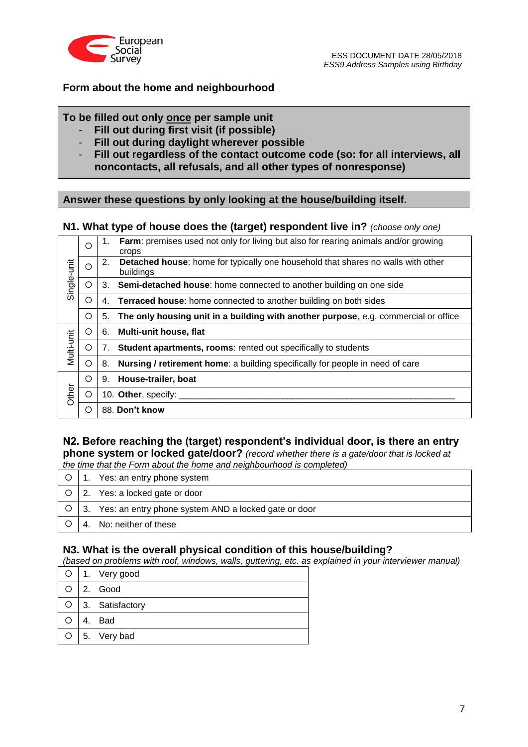

# **Form about the home and neighbourhood**

## **To be filled out only once per sample unit**

- **Fill out during first visit (if possible)**
- **Fill out during daylight wherever possible**
- **Fill out regardless of the contact outcome code (so: for all interviews, all noncontacts, all refusals, and all other types of nonresponse)**

# **Answer these questions by only looking at the house/building itself.**

## **N1. What type of house does the (target) respondent live in?** *(choose only one)*

|             | $\circ$ | 1. | Farm: premises used not only for living but also for rearing animals and/or growing<br>crops  |
|-------------|---------|----|-----------------------------------------------------------------------------------------------|
| Single-unit | O       | 2. | Detached house: home for typically one household that shares no walls with other<br>buildings |
|             | O       | 3. | Semi-detached house: home connected to another building on one side                           |
|             | ◯       | 4. | <b>Terraced house:</b> home connected to another building on both sides                       |
|             | O       | 5. | The only housing unit in a building with another purpose, e.g. commercial or office           |
|             | O       | 6. | Multi-unit house, flat                                                                        |
| Multi-unit  | O       | 7. | Student apartments, rooms: rented out specifically to students                                |
|             | O       | 8. | <b>Nursing / retirement home:</b> a building specifically for people in need of care          |
|             | О       | 9. | House-trailer, boat                                                                           |
| Other       | O       |    | 10. Other, specify:                                                                           |
|             | ∩       |    | 88. Don't know                                                                                |

## **N2. Before reaching the (target) respondent's individual door, is there an entry phone system or locked gate/door?** *(record whether there is a gate/door that is locked at the time that the Form about the home and neighbourhood is completed)*

| the time that the Form about the nome and neighbourhood is completed) |  |                                                                   |  |  |  |  |
|-----------------------------------------------------------------------|--|-------------------------------------------------------------------|--|--|--|--|
|                                                                       |  | $\circ$   1. Yes: an entry phone system                           |  |  |  |  |
|                                                                       |  | $\circ$   2. Yes: a locked gate or door                           |  |  |  |  |
|                                                                       |  | $\circ$   3. Yes: an entry phone system AND a locked gate or door |  |  |  |  |
|                                                                       |  | 4. No: neither of these                                           |  |  |  |  |

## **N3. What is the overall physical condition of this house/building?**

*(based on problems with roof, windows, walls, guttering, etc. as explained in your interviewer manual)*

|  | O   1. Very good      |
|--|-----------------------|
|  | $\bigcirc$ 2. Good    |
|  | O 3. Satisfactory     |
|  | O I 4. Bad            |
|  | $\circ$   5. Very bad |